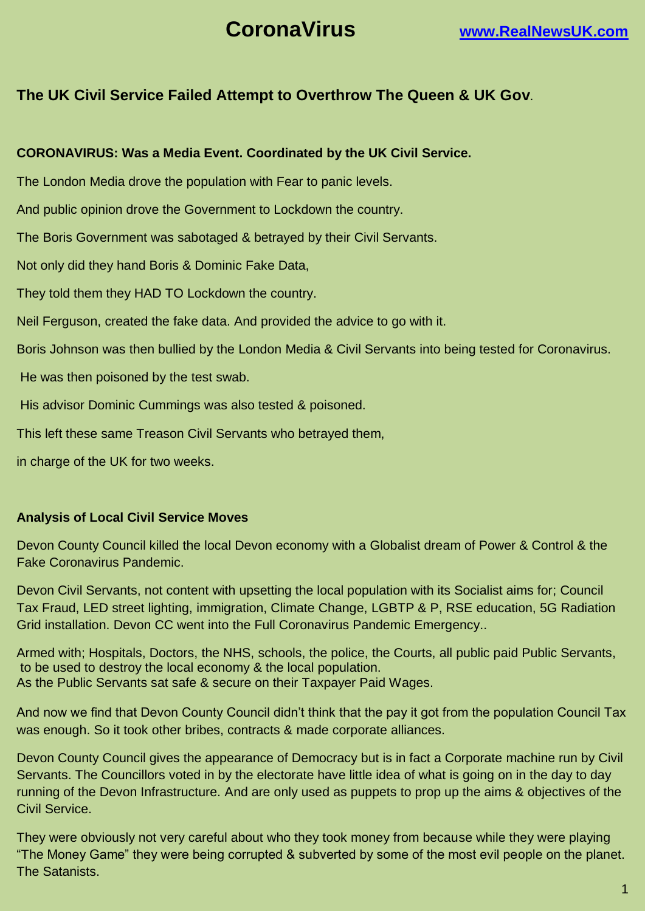# **CoronaVirus [www.RealNewsUK.com](http://www.realnewsuk.com/)**

# **The UK Civil Service Failed Attempt to Overthrow The Queen & UK Gov**.

### **CORONAVIRUS: Was a Media Event. Coordinated by the UK Civil Service.**

The London Media drove the population with Fear to panic levels.

And public opinion drove the Government to Lockdown the country.

The Boris Government was sabotaged & betrayed by their Civil Servants.

Not only did they hand Boris & Dominic Fake Data,

They told them they HAD TO Lockdown the country.

Neil Ferguson, created the fake data. And provided the advice to go with it.

Boris Johnson was then bullied by the London Media & Civil Servants into being tested for Coronavirus.

He was then poisoned by the test swab.

His advisor Dominic Cummings was also tested & poisoned.

This left these same Treason Civil Servants who betrayed them,

in charge of the UK for two weeks.

#### **Analysis of Local Civil Service Moves**

Devon County Council killed the local Devon economy with a Globalist dream of Power & Control & the Fake Coronavirus Pandemic.

Devon Civil Servants, not content with upsetting the local population with its Socialist aims for; Council Tax Fraud, LED street lighting, immigration, Climate Change, LGBTP & P, RSE education, 5G Radiation Grid installation. Devon CC went into the Full Coronavirus Pandemic Emergency..

Armed with; Hospitals, Doctors, the NHS, schools, the police, the Courts, all public paid Public Servants, to be used to destroy the local economy & the local population. As the Public Servants sat safe & secure on their Taxpayer Paid Wages.

And now we find that Devon County Council didn't think that the pay it got from the population Council Tax was enough. So it took other bribes, contracts & made corporate alliances.

Devon County Council gives the appearance of Democracy but is in fact a Corporate machine run by Civil Servants. The Councillors voted in by the electorate have little idea of what is going on in the day to day running of the Devon Infrastructure. And are only used as puppets to prop up the aims & objectives of the Civil Service.

They were obviously not very careful about who they took money from because while they were playing "The Money Game" they were being corrupted & subverted by some of the most evil people on the planet. The Satanists.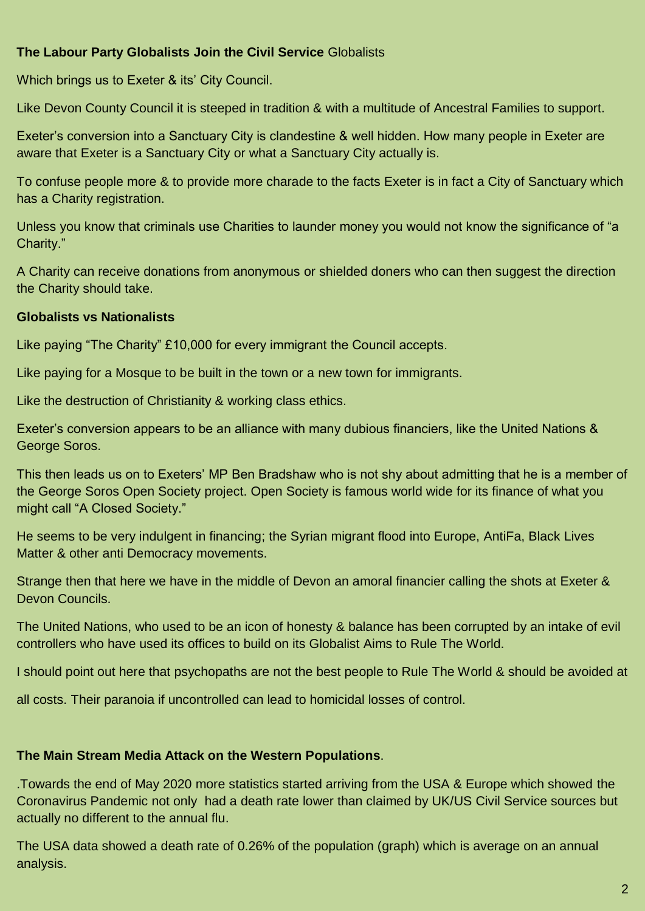# **The Labour Party Globalists Join the Civil Service** Globalists

Which brings us to Exeter & its' City Council.

Like Devon County Council it is steeped in tradition & with a multitude of Ancestral Families to support.

Exeter's conversion into a Sanctuary City is clandestine & well hidden. How many people in Exeter are aware that Exeter is a Sanctuary City or what a Sanctuary City actually is.

To confuse people more & to provide more charade to the facts Exeter is in fact a City of Sanctuary which has a Charity registration.

Unless you know that criminals use Charities to launder money you would not know the significance of "a Charity."

A Charity can receive donations from anonymous or shielded doners who can then suggest the direction the Charity should take.

# **Globalists vs Nationalists**

Like paying "The Charity" £10,000 for every immigrant the Council accepts.

Like paying for a Mosque to be built in the town or a new town for immigrants.

Like the destruction of Christianity & working class ethics.

Exeter's conversion appears to be an alliance with many dubious financiers, like the United Nations & George Soros.

This then leads us on to Exeters' MP Ben Bradshaw who is not shy about admitting that he is a member of the George Soros Open Society project. Open Society is famous world wide for its finance of what you might call "A Closed Society."

He seems to be very indulgent in financing; the Syrian migrant flood into Europe, AntiFa, Black Lives Matter & other anti Democracy movements.

Strange then that here we have in the middle of Devon an amoral financier calling the shots at Exeter & Devon Councils.

The United Nations, who used to be an icon of honesty & balance has been corrupted by an intake of evil controllers who have used its offices to build on its Globalist Aims to Rule The World.

I should point out here that psychopaths are not the best people to Rule The World & should be avoided at

all costs. Their paranoia if uncontrolled can lead to homicidal losses of control.

# **The Main Stream Media Attack on the Western Populations**.

.Towards the end of May 2020 more statistics started arriving from the USA & Europe which showed the Coronavirus Pandemic not only had a death rate lower than claimed by UK/US Civil Service sources but actually no different to the annual flu.

The USA data showed a death rate of 0.26% of the population (graph) which is average on an annual analysis.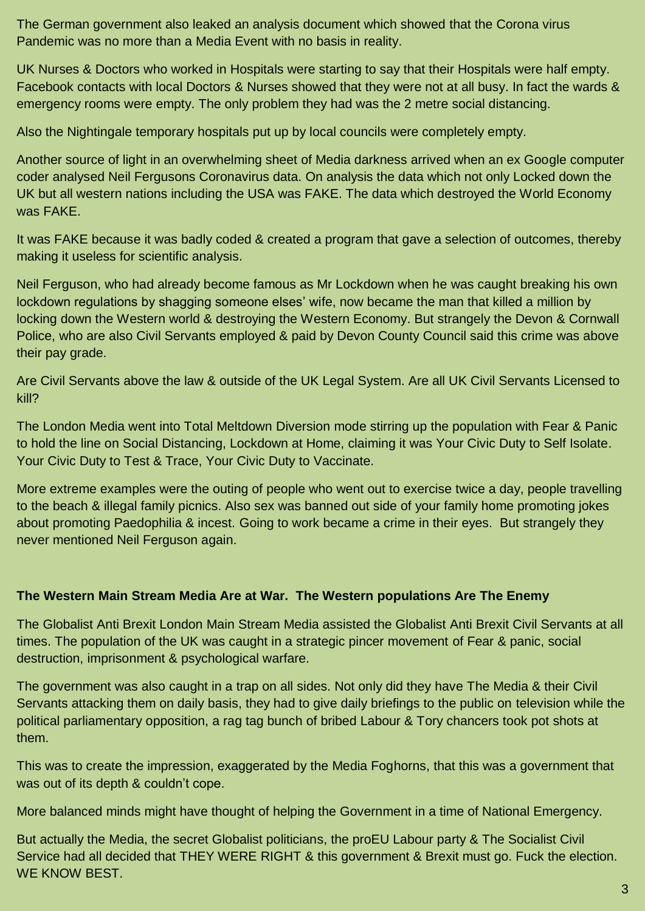The German government also leaked an analysis document which showed that the Corona virus Pandemic was no more than a Media Event with no basis in reality.

UK Nurses & Doctors who worked in Hospitals were starting to say that their Hospitals were half empty. Facebook contacts with local Doctors & Nurses showed that they were not at all busy. In fact the wards & emergency rooms were empty. The only problem they had was the 2 metre social distancing.

Also the Nightingale temporary hospitals put up by local councils were completely empty.

Another source of light in an overwhelming sheet of Media darkness arrived when an ex Google computer coder analysed Neil Fergusons Coronavirus data. On analysis the data which not only Locked down the UK but all western nations including the USA was FAKE. The data which destroyed the World Economy was FAKE.

It was FAKE because it was badly coded & created a program that gave a selection of outcomes, thereby making it useless for scientific analysis.

Neil Ferguson, who had already become famous as Mr Lockdown when he was caught breaking his own lockdown regulations by shagging someone elses' wife, now became the man that killed a million by locking down the Western world & destroying the Western Economy. But strangely the Devon & Cornwall Police, who are also Civil Servants employed & paid by Devon County Council said this crime was above their pay grade.

Are Civil Servants above the law & outside of the UK Legal System. Are all UK Civil Servants Licensed to kill?

The London Media went into Total Meltdown Diversion mode stirring up the population with Fear & Panic to hold the line on Social Distancing, Lockdown at Home, claiming it was Your Civic Duty to Self Isolate. Your Civic Duty to Test & Trace, Your Civic Duty to Vaccinate.

More extreme examples were the outing of people who went out to exercise twice a day, people travelling to the beach & illegal family picnics. Also sex was banned out side of your family home promoting jokes about promoting Paedophilia & incest. Going to work became a crime in their eyes. But strangely they never mentioned Neil Ferguson again.

# **The Western Main Stream Media Are at War. The Western populations Are The Enemy**

The Globalist Anti Brexit London Main Stream Media assisted the Globalist Anti Brexit Civil Servants at all times. The population of the UK was caught in a strategic pincer movement of Fear & panic, social destruction, imprisonment & psychological warfare.

The government was also caught in a trap on all sides. Not only did they have The Media & their Civil Servants attacking them on daily basis, they had to give daily briefings to the public on television while the political parliamentary opposition, a rag tag bunch of bribed Labour & Tory chancers took pot shots at them.

This was to create the impression, exaggerated by the Media Foghorns, that this was a government that was out of its depth & couldn't cope.

More balanced minds might have thought of helping the Government in a time of National Emergency.

But actually the Media, the secret Globalist politicians, the proEU Labour party & The Socialist Civil Service had all decided that THEY WERE RIGHT & this government & Brexit must go. Fuck the election. WE KNOW BEST.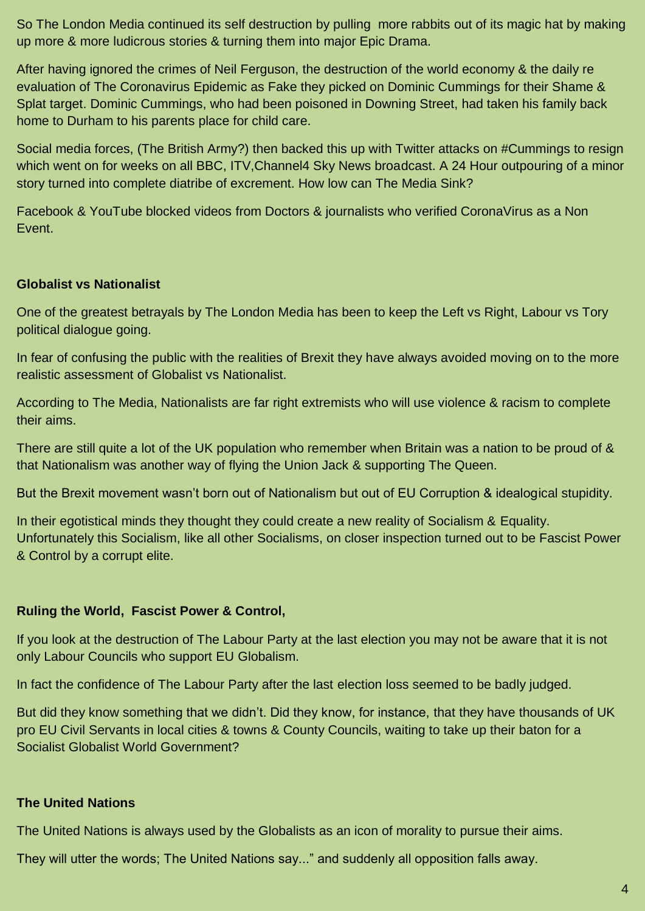So The London Media continued its self destruction by pulling more rabbits out of its magic hat by making up more & more ludicrous stories & turning them into major Epic Drama.

After having ignored the crimes of Neil Ferguson, the destruction of the world economy & the daily re evaluation of The Coronavirus Epidemic as Fake they picked on Dominic Cummings for their Shame & Splat target. Dominic Cummings, who had been poisoned in Downing Street, had taken his family back home to Durham to his parents place for child care.

Social media forces, (The British Army?) then backed this up with Twitter attacks on #Cummings to resign which went on for weeks on all BBC, ITV, Channel 4 Sky News broadcast. A 24 Hour outpouring of a minor story turned into complete diatribe of excrement. How low can The Media Sink?

Facebook & YouTube blocked videos from Doctors & journalists who verified CoronaVirus as a Non Event.

#### **Globalist vs Nationalist**

One of the greatest betrayals by The London Media has been to keep the Left vs Right, Labour vs Tory political dialogue going.

In fear of confusing the public with the realities of Brexit they have always avoided moving on to the more realistic assessment of Globalist vs Nationalist.

According to The Media, Nationalists are far right extremists who will use violence & racism to complete their aims.

There are still quite a lot of the UK population who remember when Britain was a nation to be proud of & that Nationalism was another way of flying the Union Jack & supporting The Queen.

But the Brexit movement wasn't born out of Nationalism but out of EU Corruption & idealogical stupidity.

In their egotistical minds they thought they could create a new reality of Socialism & Equality. Unfortunately this Socialism, like all other Socialisms, on closer inspection turned out to be Fascist Power & Control by a corrupt elite.

#### **Ruling the World, Fascist Power & Control,**

If you look at the destruction of The Labour Party at the last election you may not be aware that it is not only Labour Councils who support EU Globalism.

In fact the confidence of The Labour Party after the last election loss seemed to be badly judged.

But did they know something that we didn't. Did they know, for instance, that they have thousands of UK pro EU Civil Servants in local cities & towns & County Councils, waiting to take up their baton for a Socialist Globalist World Government?

#### **The United Nations**

The United Nations is always used by the Globalists as an icon of morality to pursue their aims.

They will utter the words; The United Nations say..." and suddenly all opposition falls away.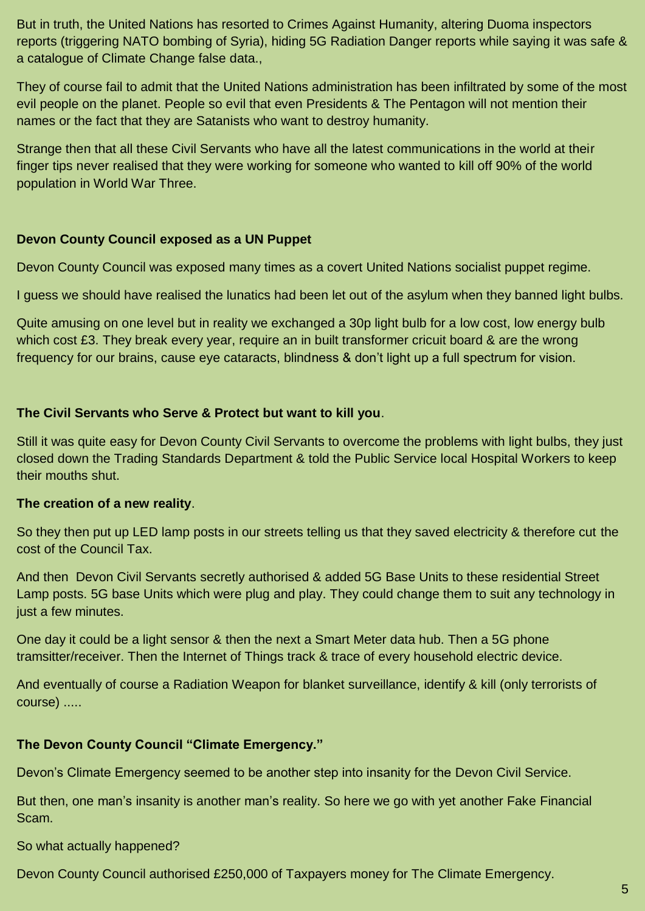But in truth, the United Nations has resorted to Crimes Against Humanity, altering Duoma inspectors reports (triggering NATO bombing of Syria), hiding 5G Radiation Danger reports while saying it was safe & a catalogue of Climate Change false data.,

They of course fail to admit that the United Nations administration has been infiltrated by some of the most evil people on the planet. People so evil that even Presidents & The Pentagon will not mention their names or the fact that they are Satanists who want to destroy humanity.

Strange then that all these Civil Servants who have all the latest communications in the world at their finger tips never realised that they were working for someone who wanted to kill off 90% of the world population in World War Three.

#### **Devon County Council exposed as a UN Puppet**

Devon County Council was exposed many times as a covert United Nations socialist puppet regime.

I guess we should have realised the lunatics had been let out of the asylum when they banned light bulbs.

Quite amusing on one level but in reality we exchanged a 30p light bulb for a low cost, low energy bulb which cost £3. They break every year, require an in built transformer cricuit board & are the wrong frequency for our brains, cause eye cataracts, blindness & don't light up a full spectrum for vision.

#### **The Civil Servants who Serve & Protect but want to kill you**.

Still it was quite easy for Devon County Civil Servants to overcome the problems with light bulbs, they just closed down the Trading Standards Department & told the Public Service local Hospital Workers to keep their mouths shut.

#### **The creation of a new reality**.

So they then put up LED lamp posts in our streets telling us that they saved electricity & therefore cut the cost of the Council Tax.

And then Devon Civil Servants secretly authorised & added 5G Base Units to these residential Street Lamp posts. 5G base Units which were plug and play. They could change them to suit any technology in just a few minutes.

One day it could be a light sensor & then the next a Smart Meter data hub. Then a 5G phone tramsitter/receiver. Then the Internet of Things track & trace of every household electric device.

And eventually of course a Radiation Weapon for blanket surveillance, identify & kill (only terrorists of course) .....

# **The Devon County Council "Climate Emergency."**

Devon's Climate Emergency seemed to be another step into insanity for the Devon Civil Service.

But then, one man's insanity is another man's reality. So here we go with yet another Fake Financial Scam.

So what actually happened?

Devon County Council authorised £250,000 of Taxpayers money for The Climate Emergency.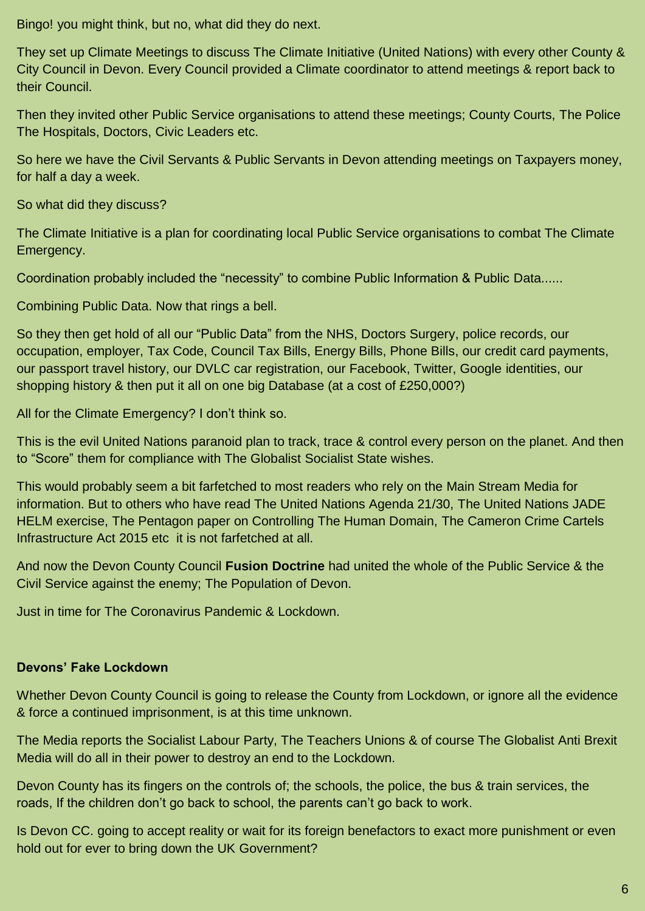Bingo! you might think, but no, what did they do next.

They set up Climate Meetings to discuss The Climate Initiative (United Nations) with every other County & City Council in Devon. Every Council provided a Climate coordinator to attend meetings & report back to their Council.

Then they invited other Public Service organisations to attend these meetings; County Courts, The Police The Hospitals, Doctors, Civic Leaders etc.

So here we have the Civil Servants & Public Servants in Devon attending meetings on Taxpayers money, for half a day a week.

So what did they discuss?

The Climate Initiative is a plan for coordinating local Public Service organisations to combat The Climate Emergency.

Coordination probably included the "necessity" to combine Public Information & Public Data......

Combining Public Data. Now that rings a bell.

So they then get hold of all our "Public Data" from the NHS, Doctors Surgery, police records, our occupation, employer, Tax Code, Council Tax Bills, Energy Bills, Phone Bills, our credit card payments, our passport travel history, our DVLC car registration, our Facebook, Twitter, Google identities, our shopping history & then put it all on one big Database (at a cost of £250,000?)

All for the Climate Emergency? I don't think so.

This is the evil United Nations paranoid plan to track, trace & control every person on the planet. And then to "Score" them for compliance with The Globalist Socialist State wishes.

This would probably seem a bit farfetched to most readers who rely on the Main Stream Media for information. But to others who have read The United Nations Agenda 21/30, The United Nations JADE HELM exercise, The Pentagon paper on Controlling The Human Domain, The Cameron Crime Cartels Infrastructure Act 2015 etc it is not farfetched at all.

And now the Devon County Council **Fusion Doctrine** had united the whole of the Public Service & the Civil Service against the enemy; The Population of Devon.

Just in time for The Coronavirus Pandemic & Lockdown.

# **Devons' Fake Lockdown**

Whether Devon County Council is going to release the County from Lockdown, or ignore all the evidence & force a continued imprisonment, is at this time unknown.

The Media reports the Socialist Labour Party, The Teachers Unions & of course The Globalist Anti Brexit Media will do all in their power to destroy an end to the Lockdown.

Devon County has its fingers on the controls of; the schools, the police, the bus & train services, the roads, If the children don't go back to school, the parents can't go back to work.

Is Devon CC. going to accept reality or wait for its foreign benefactors to exact more punishment or even hold out for ever to bring down the UK Government?